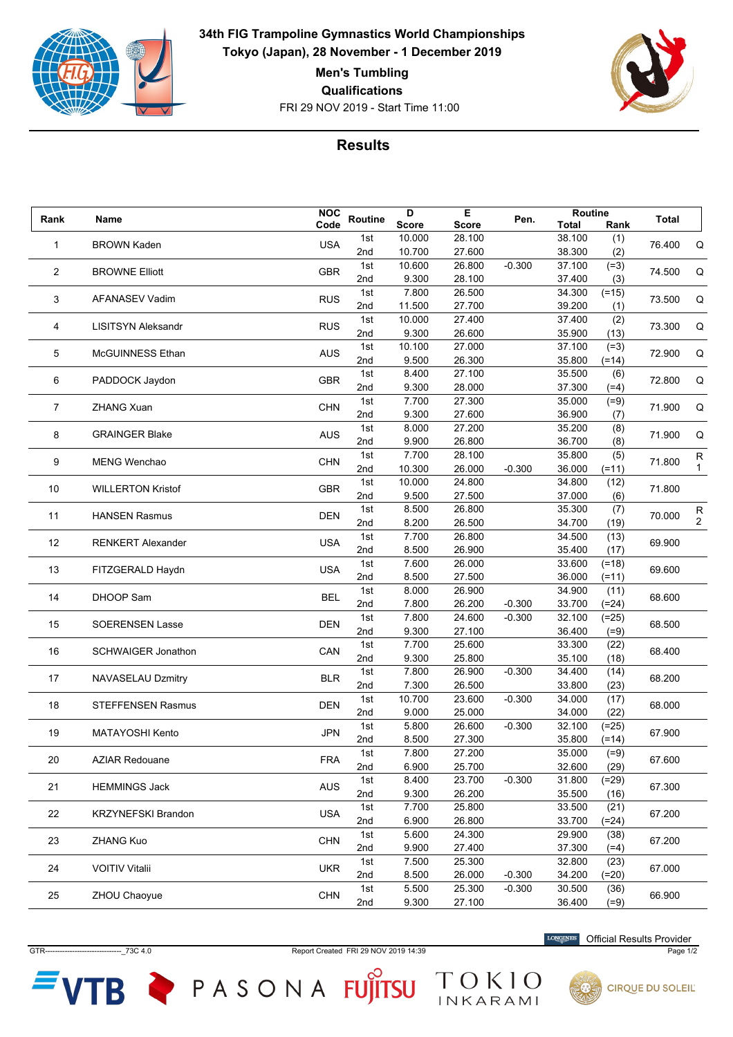

**34th FIG Trampoline Gymnastics World Championships Tokyo (Japan), 28 November - 1 December 2019**

**Men's Tumbling**

**Qualifications**

FRI 29 NOV 2019 - Start Time 11:00



## **Results**

| Rank           | Name                      | <b>NOC</b> | Routine | D            | Е            | Pen.     | <b>Routine</b> |         | <b>Total</b> |                   |
|----------------|---------------------------|------------|---------|--------------|--------------|----------|----------------|---------|--------------|-------------------|
|                |                           | Code       |         | <b>Score</b> | <b>Score</b> |          | Total          | Rank    |              |                   |
| 1              | <b>BROWN Kaden</b>        | <b>USA</b> | 1st     | 10.000       | 28.100       |          | 38.100         | (1)     | 76.400       | Q                 |
|                |                           |            | 2nd     | 10.700       | 27.600       |          | 38.300         | (2)     |              |                   |
| $\overline{2}$ | <b>BROWNE Elliott</b>     | <b>GBR</b> | 1st     | 10.600       | 26.800       | $-0.300$ | 37.100         | $(=3)$  | 74.500       | Q                 |
|                |                           |            | 2nd     | 9.300        | 28.100       |          | 37.400         | (3)     |              |                   |
|                |                           |            | 1st     | 7.800        | 26.500       |          | 34.300         | $(=15)$ |              |                   |
| 3              | <b>AFANASEV Vadim</b>     | <b>RUS</b> | 2nd     | 11.500       | 27.700       |          | 39.200         | (1)     | 73.500       | Q                 |
|                |                           |            | 1st     | 10.000       | 27.400       |          | 37.400         | (2)     |              |                   |
| 4              | <b>LISITSYN Aleksandr</b> | <b>RUS</b> | 2nd     | 9.300        | 26.600       |          | 35.900         | (13)    | 73.300       | Q                 |
|                |                           |            | 1st     | 10.100       | 27.000       |          | 37.100         | $(=3)$  |              |                   |
| 5              | McGUINNESS Ethan          | <b>AUS</b> | 2nd     | 9.500        | 26.300       |          | 35.800         | $(=14)$ | 72.900       | Q                 |
|                |                           |            | 1st     | 8.400        | 27.100       |          | 35.500         | (6)     |              |                   |
| 6              | PADDOCK Jaydon            | <b>GBR</b> | 2nd     | 9.300        | 28.000       |          | 37.300         | $(=4)$  | 72.800       | Q                 |
|                |                           |            | 1st     | 7.700        | 27.300       |          | 35.000         | $(=9)$  |              |                   |
| 7              | <b>ZHANG Xuan</b>         | <b>CHN</b> | 2nd     | 9.300        | 27.600       |          | 36.900         | (7)     | 71.900       | Q                 |
|                |                           |            | 1st     | 8.000        | 27.200       |          | 35.200         | (8)     |              |                   |
| 8              | <b>GRAINGER Blake</b>     | <b>AUS</b> | 2nd     | 9.900        | 26.800       |          | 36.700         | (8)     | 71.900       | Q                 |
|                |                           |            | 1st     | 7.700        | 28.100       |          | 35.800         | (5)     |              |                   |
| 9              | <b>MENG Wenchao</b>       | <b>CHN</b> | 2nd     | 10.300       | 26.000       | $-0.300$ | 36.000         | $(=11)$ | 71.800       | R<br>$\mathbf{1}$ |
|                |                           |            | 1st     | 10.000       | 24.800       |          | 34.800         | (12)    |              |                   |
| 10             | <b>WILLERTON Kristof</b>  | <b>GBR</b> | 2nd     | 9.500        | 27.500       |          | 37.000         |         | 71.800       |                   |
|                |                           |            |         |              |              |          |                | (6)     |              |                   |
| 11             | <b>HANSEN Rasmus</b>      | <b>DEN</b> | 1st     | 8.500        | 26.800       |          | 35.300         | (7)     | 70.000       | R                 |
|                |                           |            | 2nd     | 8.200        | 26.500       |          | 34.700         | (19)    |              | $\overline{2}$    |
| 12             | <b>RENKERT Alexander</b>  | <b>USA</b> | 1st     | 7.700        | 26.800       |          | 34.500         | (13)    | 69.900       |                   |
|                |                           |            | 2nd     | 8.500        | 26.900       |          | 35.400         | (17)    |              |                   |
| 13             | FITZGERALD Haydn          | <b>USA</b> | 1st     | 7.600        | 26.000       |          | 33.600         | $(=18)$ | 69.600       |                   |
|                |                           |            | 2nd     | 8.500        | 27.500       |          | 36.000         | $(=11)$ |              |                   |
| 14             | DHOOP Sam                 | <b>BEL</b> | 1st     | 8.000        | 26.900       |          | 34.900         | (11)    | 68.600       |                   |
|                |                           |            | 2nd     | 7.800        | 26.200       | $-0.300$ | 33.700         | $(=24)$ |              |                   |
| 15             | <b>SOERENSEN Lasse</b>    | <b>DEN</b> | 1st     | 7.800        | 24.600       | $-0.300$ | 32.100         | $(=25)$ | 68.500       |                   |
|                |                           |            | 2nd     | 9.300        | 27.100       |          | 36.400         | $(=9)$  |              |                   |
| 16             | <b>SCHWAIGER Jonathon</b> | CAN        | 1st     | 7.700        | 25.600       |          | 33.300         | (22)    | 68.400       |                   |
|                |                           |            | 2nd     | 9.300        | 25.800       |          | 35.100         | (18)    |              |                   |
| 17             | NAVASELAU Dzmitry         | <b>BLR</b> | 1st     | 7.800        | 26.900       | $-0.300$ | 34.400         | (14)    | 68.200       |                   |
|                |                           |            | 2nd     | 7.300        | 26.500       |          | 33.800         | (23)    |              |                   |
| 18             | <b>STEFFENSEN Rasmus</b>  | <b>DEN</b> | 1st     | 10.700       | 23.600       | $-0.300$ | 34.000         | (17)    | 68.000       |                   |
|                |                           |            | 2nd     | 9.000        | 25.000       |          | 34.000         | (22)    |              |                   |
| 19             | <b>MATAYOSHI Kento</b>    | <b>JPN</b> | 1st     | 5.800        | 26.600       | $-0.300$ | 32.100         | $(=25)$ | 67.900       |                   |
|                |                           |            | 2nd     | 8.500        | 27.300       |          | 35.800         | $(=14)$ |              |                   |
|                |                           |            | 1st     | 7.800        | 27.200       |          | 35.000         | $(=9)$  |              |                   |
| 20             | <b>AZIAR Redouane</b>     | <b>FRA</b> | 2nd     | 6.900        | 25.700       |          | 32.600         | (29)    | 67.600       |                   |
|                |                           |            | 1st     | 8.400        | 23.700       | $-0.300$ | 31.800         | $(=29)$ |              |                   |
| 21             | <b>HEMMINGS Jack</b>      | <b>AUS</b> | 2nd     | 9.300        | 26.200       |          | 35.500         | (16)    | 67.300       |                   |
|                |                           |            | 1st     | 7.700        | 25.800       |          | 33.500         | (21)    |              |                   |
| 22             | <b>KRZYNEFSKI Brandon</b> | <b>USA</b> | 2nd     | 6.900        | 26.800       |          | 33.700         | $(=24)$ | 67.200       |                   |
| 23             | ZHANG Kuo                 |            | 1st     | 5.600        | 24.300       |          | 29.900         | (38)    |              |                   |
|                |                           | <b>CHN</b> | 2nd     | 9.900        | 27.400       |          | 37.300         | $(=4)$  | 67.200       |                   |
| 24             | <b>VOITIV Vitalii</b>     |            | 1st     | 7.500        | 25.300       |          | 32.800         | (23)    |              |                   |
|                |                           | <b>UKR</b> | 2nd     | 8.500        | 26.000       | $-0.300$ | 34.200         | $(=20)$ | 67.000       |                   |
|                |                           |            | 1st     | 5.500        | 25.300       | $-0.300$ | 30.500         | (36)    |              |                   |
| 25             | ZHOU Chaoyue              | <b>CHN</b> | 2nd     | 9.300        | 27.100       |          | 36.400         | $(=9)$  | 66.900       |                   |
|                |                           |            |         |              |              |          |                |         |              |                   |

GTR-------------------------------\_73C 4.0 Report Created FRI 29 NOV 2019 14:39 Page 1/2

TOKIO

VTB PASONA FUJITSU

Official Results Provider



**CIRQUE DU SOLEIL**